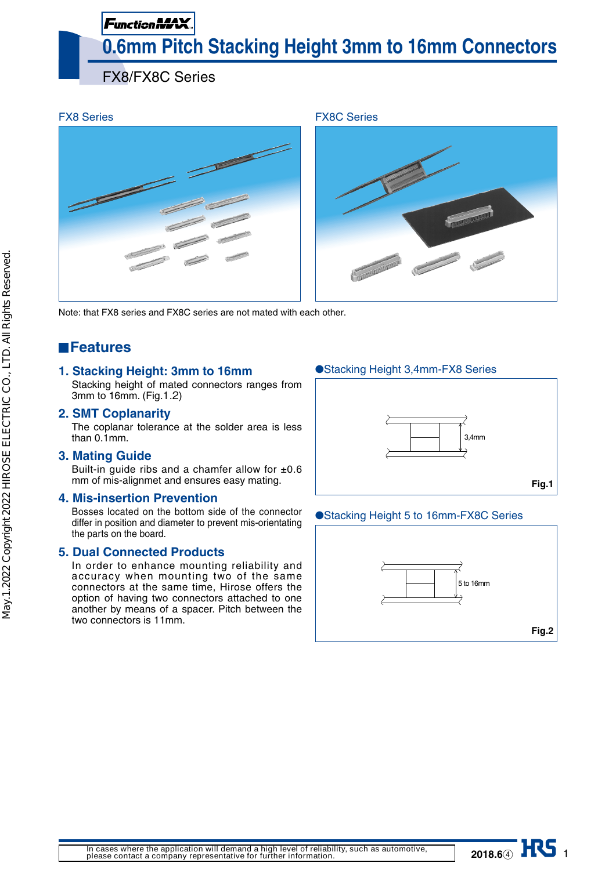# Function MAX **0.6mm Pitch Stacking Height 3mm to 16mm Connectors**

FX8/FX8C Series



Note: that FX8 series and FX8C series are not mated with each other.

# **Features**

## **1. Stacking Height: 3mm to 16mm**

Stacking height of mated connectors ranges from 3mm to 16mm. (Fig.1.2)

## **2. SMT Coplanarity**

The coplanar tolerance at the solder area is less than 0.1mm.

#### **3. Mating Guide**

Built-in guide ribs and a chamfer allow for  $\pm 0.6$ mm of mis-alignmet and ensures easy mating.

#### **4. Mis-insertion Prevention**

Bosses located on the bottom side of the connector differ in position and diameter to prevent mis-orientating the parts on the board.

#### **5. Dual Connected Products**

In order to enhance mounting reliability and accuracy when mounting two of the same connectors at the same time, Hirose offers the option of having two connectors attached to one another by means of a spacer. Pitch between the two connectors is 11mm.

## ●Stacking Height 3,4mm-FX8 Series



#### ●Stacking Height 5 to 16mm-FX8C Series



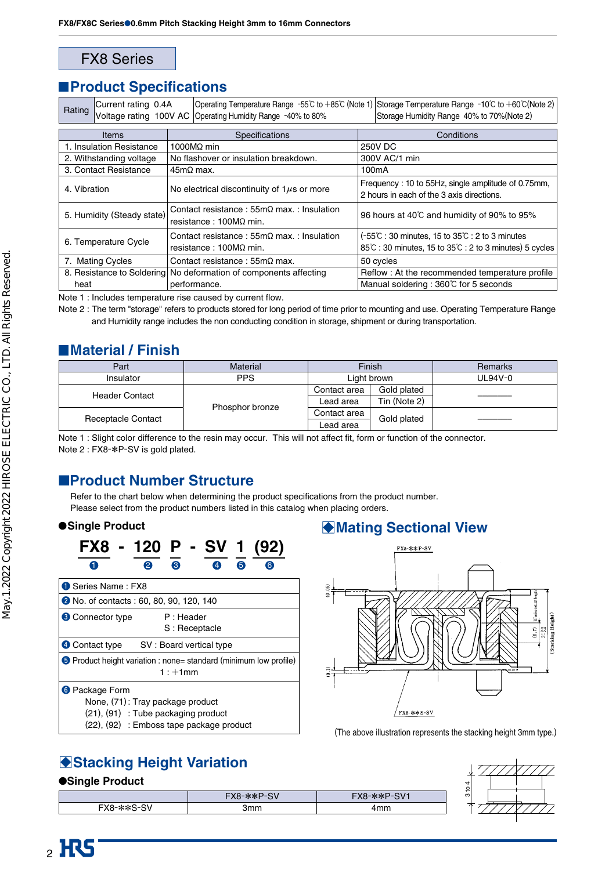## FX8 Series

## **Product Specifications**

| Rating                     | Current rating 0.4A        |                                                 | Voltage rating 100V AC Operating Humidity Range -40% to 80%                   |                                                                                                                                                                                                 | Operating Temperature Range -55°C to +85°C (Note 1) Storage Temperature Range -10°C to +60°C(Note 2)<br>Storage Humidity Range 40% to 70% (Note 2) |  |  |
|----------------------------|----------------------------|-------------------------------------------------|-------------------------------------------------------------------------------|-------------------------------------------------------------------------------------------------------------------------------------------------------------------------------------------------|----------------------------------------------------------------------------------------------------------------------------------------------------|--|--|
|                            |                            |                                                 |                                                                               |                                                                                                                                                                                                 |                                                                                                                                                    |  |  |
|                            | <b>Items</b>               |                                                 | Specifications                                                                |                                                                                                                                                                                                 | Conditions                                                                                                                                         |  |  |
|                            | 1. Insulation Resistance   |                                                 | 1000 $MO$ min                                                                 |                                                                                                                                                                                                 | <b>250V DC</b>                                                                                                                                     |  |  |
|                            | 2. Withstanding voltage    |                                                 | No flashover or insulation breakdown.                                         |                                                                                                                                                                                                 | 300V AC/1 min                                                                                                                                      |  |  |
|                            | 3. Contact Resistance      | $45m\Omega$ max.                                |                                                                               | 100 <sub>m</sub> A                                                                                                                                                                              |                                                                                                                                                    |  |  |
| 4. Vibration               |                            | No electrical discontinuity of $1\mu s$ or more |                                                                               | Frequency: 10 to 55Hz, single amplitude of 0.75mm,<br>2 hours in each of the 3 axis directions.                                                                                                 |                                                                                                                                                    |  |  |
| 5. Humidity (Steady state) |                            |                                                 | Contact resistance : $55m\Omega$ max. : Insulation<br>resistance : 100MΩ min. | 96 hours at 40°C and humidity of 90% to 95%                                                                                                                                                     |                                                                                                                                                    |  |  |
| 6. Temperature Cycle       |                            |                                                 | Contact resistance: $55m\Omega$ max.: Insulation<br>resistance: 100MΩ min.    | $(-55^{\circ}\text{C} : 30 \text{ minutes}, 15 \text{ to } 35^{\circ}\text{C} : 2 \text{ to } 3 \text{ minutes})$<br>$85^{\circ}$ C: 30 minutes, 15 to $35^{\circ}$ C: 2 to 3 minutes) 5 cycles |                                                                                                                                                    |  |  |
| 7. Mating Cycles           |                            |                                                 | Contact resistance : $55m\Omega$ max.                                         | 50 cycles                                                                                                                                                                                       |                                                                                                                                                    |  |  |
|                            | 8. Resistance to Soldering |                                                 | No deformation of components affecting                                        |                                                                                                                                                                                                 | Reflow: At the recommended temperature profile                                                                                                     |  |  |
| heat                       |                            |                                                 | performance.                                                                  |                                                                                                                                                                                                 | Manual soldering : 360℃ for 5 seconds                                                                                                              |  |  |

Note 1 : Includes temperature rise caused by current flow.

Note 2 : The term "storage" refers to products stored for long period of time prior to mounting and use. Operating Temperature Range and Humidity range includes the non conducting condition in storage, shipment or during transportation.

## **Material / Finish**

| Part                      | <b>Material</b> | Finish       |              | <b>Remarks</b> |  |
|---------------------------|-----------------|--------------|--------------|----------------|--|
| Insulator                 | <b>PPS</b>      | Light brown  |              | UL94V-0        |  |
| <b>Header Contact</b>     |                 | Contact area | Gold plated  |                |  |
|                           |                 | Lead area    | Tin (Note 2) |                |  |
|                           | Phosphor bronze | Contact area | Gold plated  |                |  |
| <b>Receptacle Contact</b> |                 | Lead area    |              |                |  |

Note 1 : Slight color difference to the resin may occur. This will not affect fit, form or function of the connector. Note 2 : FX8-\*P-SV is gold plated.

# ■**Product Number Structure**

Refer to the chart below when determining the product specifications from the product number. Please select from the product numbers listed in this catalog when placing orders.



# **Single Product Construction Construction Construction Construction Construction Construction Construction Construction Construction Construction Construction Construction Construction Construction Construction Constructio**



(The above illustration represents the stacking height 3mm type.)

# **BISTACKING Height Variation**

#### ●**Single Product**

| <u>, , , , , , , , , , , , , , ,</u> |              |               |  |  |  |  |  |  |
|--------------------------------------|--------------|---------------|--|--|--|--|--|--|
|                                      | $FX8-x*P-SV$ | $FX8-x*P-SV1$ |  |  |  |  |  |  |
| FX8-**S-SV                           | 3mm          | 4mm           |  |  |  |  |  |  |

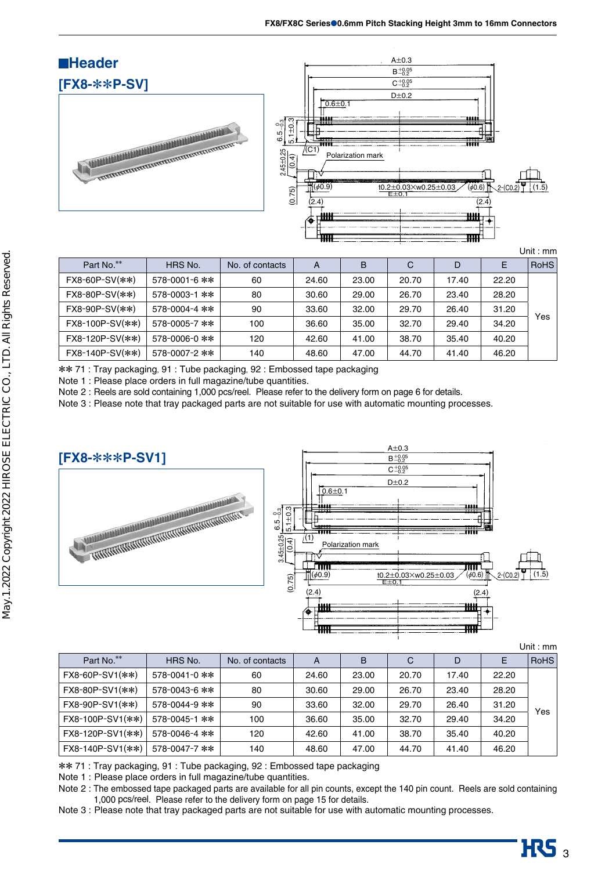

| Part No.**        | HRS No.             | No. of contacts | A     | B     | C     | D     | Ε     | <b>RoHS</b> |
|-------------------|---------------------|-----------------|-------|-------|-------|-------|-------|-------------|
| $FX8-60P-SV(**)$  | 578-0001-6 **       | 60              | 24.60 | 23.00 | 20.70 | 17.40 | 22.20 |             |
| $FX8-80P-SV(**)$  | 578-0003-1 **       | 80              | 30.60 | 29.00 | 26.70 | 23.40 | 28.20 |             |
| $FX8-90P-SV(**)$  | 578-0004-4 **       | 90              | 33.60 | 32.00 | 29.70 | 26.40 | 31.20 | Yes         |
| FX8-100P-SV(**)   | 578-0005-7 **       | 100             | 36.60 | 35.00 | 32.70 | 29.40 | 34.20 |             |
| $FX8-120P-SV(**)$ | $578 - 0006 - 0$ ** | 120             | 42.60 | 41.00 | 38.70 | 35.40 | 40.20 |             |
| FX8-140P-SV(**)   | 578-0007-2 **       | 140             | 48.60 | 47.00 | 44.70 | 41.40 | 46.20 |             |

\*\* 71 : Tray packaging, 91 : Tube packaging, 92 : Embossed tape packaging

Note 1 : Please place orders in full magazine/tube quantities.

Note 2 : Reels are sold containing 1,000 pcs/reel. Please refer to the delivery form on page 6 for details.

Note 3 : Please note that tray packaged parts are not suitable for use with automatic mounting processes.



|                  |               |                 |       |       |       |       |       | Unit: $mm$  |
|------------------|---------------|-----------------|-------|-------|-------|-------|-------|-------------|
| Part No.**       | HRS No.       | No. of contacts | A     | B     | C     | D     | Е     | <b>RoHS</b> |
| FX8-60P-SV1(**)  | 578-0041-0 ** | 60              | 24.60 | 23.00 | 20.70 | 17.40 | 22.20 |             |
| FX8-80P-SV1(**)  | 578-0043-6 ** | 80              | 30.60 | 29.00 | 26.70 | 23.40 | 28.20 |             |
| FX8-90P-SV1(**)  | 578-0044-9 ** | 90              | 33.60 | 32.00 | 29.70 | 26.40 | 31.20 | Yes         |
| FX8-100P-SV1(**) | 578-0045-1 ** | 100             | 36.60 | 35.00 | 32.70 | 29.40 | 34.20 |             |
| FX8-120P-SV1(**) | 578-0046-4 ** | 120             | 42.60 | 41.00 | 38.70 | 35.40 | 40.20 |             |
| FX8-140P-SV1(**) | 578-0047-7 ** | 140             | 48.60 | 47.00 | 44.70 | 41.40 | 46.20 |             |

\*\* 71 : Tray packaging, 91 : Tube packaging, 92 : Embossed tape packaging

Note 1 : Please place orders in full magazine/tube quantities.

Note 2 : The embossed tape packaged parts are available for all pin counts, except the 140 pin count. Reels are sold containing 1,000 pcs/reel. Please refer to the delivery form on page 15 for details.

Note 3 : Please note that tray packaged parts are not suitable for use with automatic mounting processes.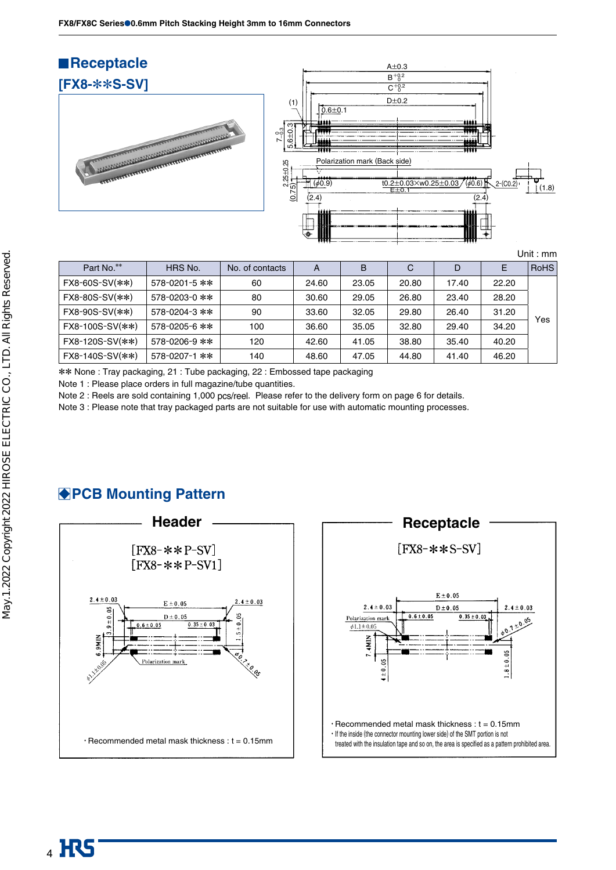

| Part No.**           | HRS No.       | No. of contacts | A     | B     | C     | D     | E     | <b>RoHS</b> |
|----------------------|---------------|-----------------|-------|-------|-------|-------|-------|-------------|
| FX8-60S-SV(**)       | 578-0201-5 ** | 60              | 24.60 | 23.05 | 20.80 | 17.40 | 22.20 |             |
| $FX8 - 80S - SV(**)$ | 578-0203-0 ** | 80              | 30.60 | 29.05 | 26.80 | 23.40 | 28.20 |             |
| FX8-90S-SV(**)       | 578-0204-3 ** | 90              | 33.60 | 32.05 | 29.80 | 26.40 | 31.20 | Yes         |
| FX8-100S-SV(**)      | 578-0205-6 ** | 100             | 36.60 | 35.05 | 32.80 | 29.40 | 34.20 |             |
| FX8-120S-SV(**)      | 578-0206-9 ** | 120             | 42.60 | 41.05 | 38.80 | 35.40 | 40.20 |             |
| FX8-140S-SV(**)      | 578-0207-1 ** | 140             | 48.60 | 47.05 | 44.80 | 41.40 | 46.20 |             |

\*\* None : Tray packaging, 21 : Tube packaging, 22 : Embossed tape packaging

Note 1 : Please place orders in full magazine/tube quantities.

Note 2 : Reels are sold containing 1,000 pcs/reel. Please refer to the delivery form on page 6 for details.

Note 3 : Please note that tray packaged parts are not suitable for use with automatic mounting processes.





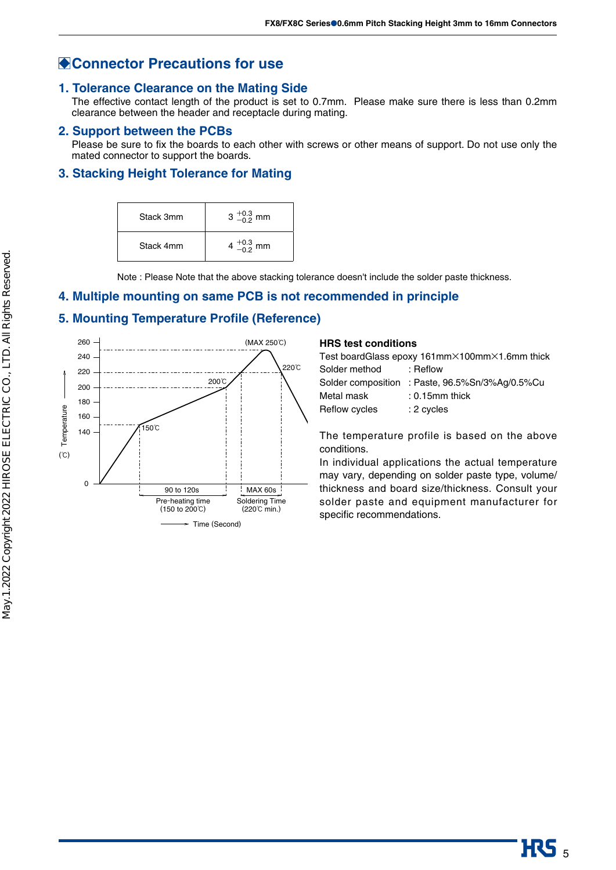## **Connector Precautions for use**

#### **1. Tolerance Clearance on the Mating Side**

The effective contact length of the product is set to 0.7mm. Please make sure there is less than 0.2mm clearance between the header and receptacle during mating.

#### **2. Support between the PCBs**

Please be sure to fix the boards to each other with screws or other means of support. Do not use only the mated connector to support the boards.

#### **3. Stacking Height Tolerance for Mating**

| Stack 3mm | $3^{+0.3}_{-0.2}$ mm  |
|-----------|-----------------------|
| Stack 4mm | 4 $^{+0.3}_{-0.2}$ mm |

Note : Please Note that the above stacking tolerance doesn't include the solder paste thickness.

#### **4. Multiple mounting on same PCB is not recommended in principle**

#### **5. Mounting Temperature Profile (Reference)**



#### **HRS test conditions**

| Test boardGlass epoxy 161mm×100mm×1.6mm thick   |  |  |  |  |  |  |  |
|-------------------------------------------------|--|--|--|--|--|--|--|
| : Reflow                                        |  |  |  |  |  |  |  |
| Solder composition : Paste, 96.5%Sn/3%Ag/0.5%Cu |  |  |  |  |  |  |  |
| $: 0.15$ mm thick                               |  |  |  |  |  |  |  |
| : 2 cycles                                      |  |  |  |  |  |  |  |
|                                                 |  |  |  |  |  |  |  |

The temperature profile is based on the above conditions.

In individual applications the actual temperature may vary, depending on solder paste type, volume/ thickness and board size/thickness. Consult your solder paste and equipment manufacturer for specific recommendations.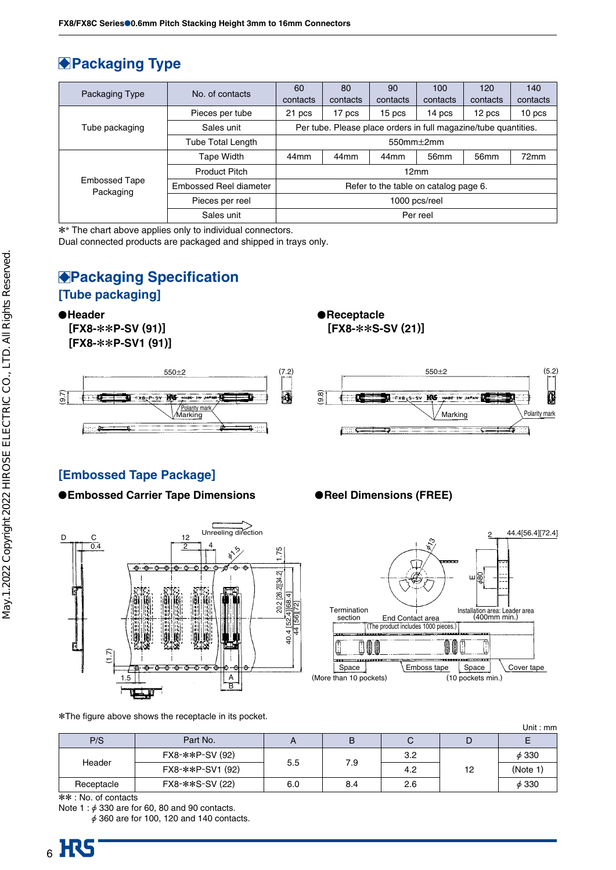# **Packaging Type**

|                                   | No. of contacts          | 60                                                              | 80       | 90                | 100              | 120      | 140               |  |  |
|-----------------------------------|--------------------------|-----------------------------------------------------------------|----------|-------------------|------------------|----------|-------------------|--|--|
| Packaging Type                    |                          | contacts                                                        | contacts | contacts          | contacts         | contacts | contacts          |  |  |
|                                   | Pieces per tube          | 21 pcs                                                          | 17 pcs   | 15 <sub>pos</sub> | 14 pcs           | 12 pcs   | 10 <sub>pos</sub> |  |  |
| Tube packaging                    | Sales unit               | Per tube. Please place orders in full magazine/tube quantities. |          |                   |                  |          |                   |  |  |
|                                   | <b>Tube Total Length</b> | 550 $mm\pm2mm$                                                  |          |                   |                  |          |                   |  |  |
|                                   | Tape Width               | 44 <sub>mm</sub>                                                | 44mm     | 44 <sub>mm</sub>  | 56 <sub>mm</sub> | 56mm     | 72mm              |  |  |
|                                   | <b>Product Pitch</b>     | 12mm                                                            |          |                   |                  |          |                   |  |  |
| <b>Embossed Tape</b><br>Packaging | Embossed Reel diameter   | Refer to the table on catalog page 6.                           |          |                   |                  |          |                   |  |  |
|                                   | Pieces per reel          | 1000 pcs/reel                                                   |          |                   |                  |          |                   |  |  |
|                                   | Sales unit               | Per reel                                                        |          |                   |                  |          |                   |  |  |

\*\* The chart above applies only to individual connectors.

Dual connected products are packaged and shipped in trays only.

## **Packaging Specification [Tube packaging]**

**Header**

**[FX8-**\*\***P-SV (91)] [FX8-**\*\***P-SV1 (91)]**







## **[Embossed Tape Package]**

#### ● Embossed Carrier Tape Dimensions **● Reel Dimensions (FREE)**





|            |                  |     |     |     |    | Unit: $mm$ |
|------------|------------------|-----|-----|-----|----|------------|
| P/S        | Part No.         |     | B   | С   |    | E          |
| Header     | FX8-**P-SV (92)  |     |     | 3.2 |    | $\phi$ 330 |
|            | FX8-**P-SV1 (92) | 5.5 | 7.9 | 4.2 | 12 | (Note 1    |
| Receptacle | FX8-**S-SV (22)  | 6.0 | 8.4 | 2.6 |    | $\phi$ 330 |

\*\* : No. of contacts

Note 1 :  $\phi$  330 are for 60, 80 and 90 contacts.

 $\phi$  360 are for 100, 120 and 140 contacts.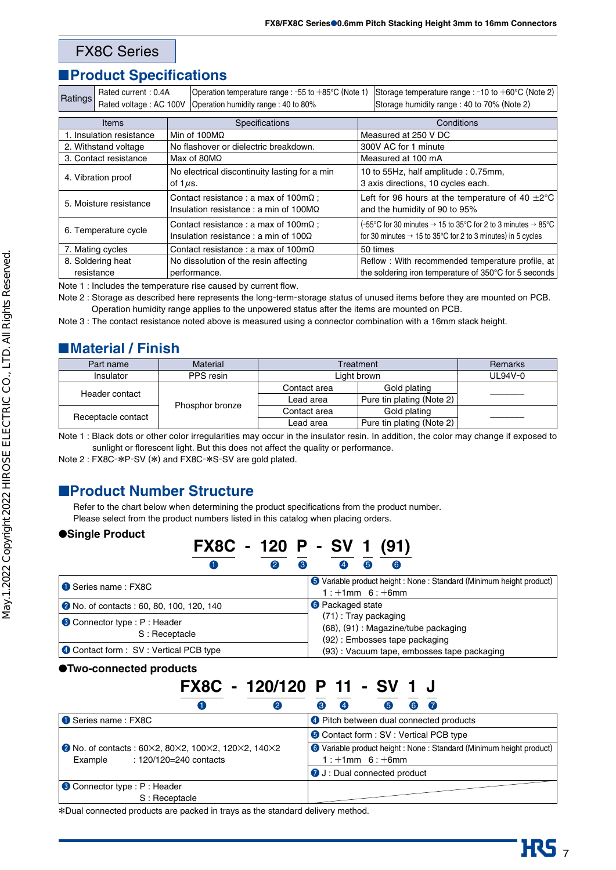#### FX8C Series

## **Product Specifications**

| Ratings                                                                | Operation temperature range : -55 to +85°C (Note 1)<br>Rated current: 0.4A |                                                                                                       |                                       | Storage temperature range : -10 to $+60^{\circ}$ C (Note 2)                                                                                                     |                                            |  |
|------------------------------------------------------------------------|----------------------------------------------------------------------------|-------------------------------------------------------------------------------------------------------|---------------------------------------|-----------------------------------------------------------------------------------------------------------------------------------------------------------------|--------------------------------------------|--|
|                                                                        | Rated voltage: AC 100V                                                     |                                                                                                       | Operation humidity range: 40 to 80%   |                                                                                                                                                                 | Storage humidity range: 40 to 70% (Note 2) |  |
|                                                                        | <b>Items</b>                                                               |                                                                                                       | Specifications                        |                                                                                                                                                                 | Conditions                                 |  |
|                                                                        | 1. Insulation resistance                                                   |                                                                                                       | Min of $100M\Omega$                   |                                                                                                                                                                 | Measured at 250 V DC                       |  |
|                                                                        | 2. Withstand voltage                                                       |                                                                                                       | No flashover or dielectric breakdown. |                                                                                                                                                                 | 300V AC for 1 minute                       |  |
|                                                                        | 3. Contact resistance                                                      |                                                                                                       | Max of 80M $\Omega$                   |                                                                                                                                                                 | Measured at 100 mA                         |  |
| 4. Vibration proof                                                     |                                                                            | No electrical discontinuity lasting for a min<br>of 1 $\mu$ s.                                        |                                       | 10 to 55Hz, half amplitude: 0.75mm,<br>3 axis directions, 10 cycles each.                                                                                       |                                            |  |
| 5. Moisture resistance                                                 |                                                                            | Contact resistance : a max of $100 \text{m}\Omega$ ;<br>Insulation resistance : a min of $100M\Omega$ |                                       | Left for 96 hours at the temperature of 40 $\pm 2^{\circ}$ C<br>and the humidity of 90 to 95%                                                                   |                                            |  |
| 6. Temperature cycle                                                   |                                                                            | Contact resistance: a max of $100 \text{m}\Omega$ ;<br>Insulation resistance : a min of $100\Omega$   |                                       | (-55°C for 30 minutes $\rightarrow$ 15 to 35°C for 2 to 3 minutes $\rightarrow$ 85°C<br>for 30 minutes $\rightarrow$ 15 to 35°C for 2 to 3 minutes) in 5 cycles |                                            |  |
| 7. Mating cycles<br>Contact resistance : a max of $100 \text{m}\Omega$ |                                                                            | 50 times                                                                                              |                                       |                                                                                                                                                                 |                                            |  |
|                                                                        | 8. Soldering heat                                                          |                                                                                                       | No dissolution of the resin affecting | Reflow : With recommended temperature profile, at                                                                                                               |                                            |  |
| resistance<br>performance.                                             |                                                                            | the soldering iron temperature of 350°C for 5 seconds                                                 |                                       |                                                                                                                                                                 |                                            |  |

Note 1 : Includes the temperature rise caused by current flow.

Note 2 : Storage as described here represents the long-term-storage status of unused items before they are mounted on PCB. Operation humidity range applies to the unpowered status after the items are mounted on PCB.

Note 3 : The contact resistance noted above is measured using a connector combination with a 16mm stack height.

## **Material / Finish**

| Part name          | Material        | Treatment    | <b>Remarks</b>            |  |
|--------------------|-----------------|--------------|---------------------------|--|
| Insulator          | PPS resin       | Light brown  | UL94V-0                   |  |
| Header contact     |                 | Contact area | Gold plating              |  |
|                    |                 | Lead area    | Pure tin plating (Note 2) |  |
| Receptacle contact | Phosphor bronze | Contact area | Gold plating              |  |
|                    |                 | Lead area    | Pure tin plating (Note 2) |  |

Note 1 : Black dots or other color irregularities may occur in the insulator resin. In addition, the color may change if exposed to sunlight or florescent light. But this does not affect the quality or performance.

Note 2 : FX8C-\*P-SV (\*) and FX8C-\*S-SV are gold plated.

#### ■**Product Number Structure**

Refer to the chart below when determining the product specifications from the product number. Please select from the product numbers listed in this catalog when placing orders.

#### ●**Single Product**

|                                                | FX8C - 120 P - SV 1 (91) |   |   |                         |    |                                                                                               |                                                                      |
|------------------------------------------------|--------------------------|---|---|-------------------------|----|-----------------------------------------------------------------------------------------------|----------------------------------------------------------------------|
|                                                |                          | 2 | 8 |                         | 65 | (6                                                                                            |                                                                      |
| Series name: FX8C                              |                          |   |   |                         |    | $1: +1$ mm $6: +6$ mm                                                                         | O Variable product height : None : Standard (Minimum height product) |
| • No. of contacts : 60, 80, 100, 120, 140      |                          |   |   | <b>6</b> Packaged state |    |                                                                                               |                                                                      |
| Connector type : P : Header<br>S: Receptacle   |                          |   |   |                         |    | (71): Tray packaging<br>(68), (91) : Magazine/tube packaging<br>(92): Embosses tape packaging |                                                                      |
| <b>4</b> Contact form : SV : Vertical PCB type |                          |   |   |                         |    | (93): Vacuum tape, embosses tape packaging                                                    |                                                                      |

#### ●**Two-connected products**

## **FX8C - 120/120 P 11 - SV 1 J** 1 2 3 4 5 6 7

| Series name: FX8C                                  | <b>O</b> Pitch between dual connected products                       |
|----------------------------------------------------|----------------------------------------------------------------------|
|                                                    | <b>O</b> Contact form : SV : Vertical PCB type                       |
| • No. of contacts: 60×2, 80×2, 100×2, 120×2, 140×2 | O Variable product height : None : Standard (Minimum height product) |
| : 120/120=240 contacts<br>Example                  | $1: +1$ mm $6: +6$ mm                                                |
|                                                    | J: Dual connected product                                            |
| Connector type : P : Header                        |                                                                      |
| S: Receptacle                                      |                                                                      |

\*Dual connected products are packed in trays as the standard delivery method.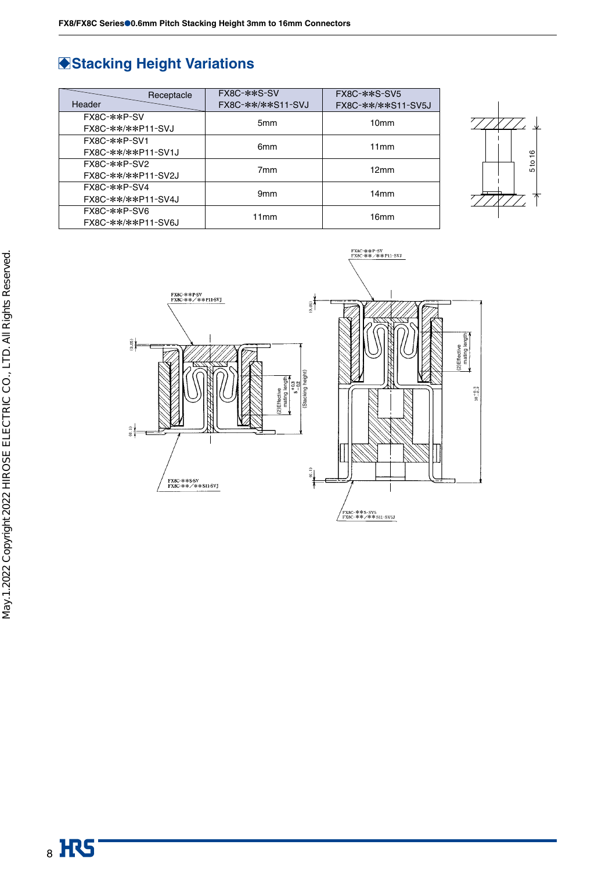# **Stacking Height Variations**

| Receptacle<br>Header               | FX8C-**S-SV<br>FX8C-**/**S11-SVJ | FX8C-**S-SV5<br>FX8C-**/**S11-SV5J |
|------------------------------------|----------------------------------|------------------------------------|
| FX8C-**P-SV<br>FX8C-**/**P11-SVJ   | 5 <sub>mm</sub>                  | 10 <sub>mm</sub>                   |
| FX8C-**P-SV1<br>FX8C-**/**P11-SV1J | 6 <sub>mm</sub>                  | 11mm                               |
| FX8C-**P-SV2<br>FX8C-**/**P11-SV2J | 7 <sub>mm</sub>                  | 12mm                               |
| FX8C-**P-SV4<br>FX8C-**/**P11-SV4J | 9 <sub>mm</sub>                  | 14mm                               |
| FX8C-**P-SV6<br>FX8C-**/**P11-SV6J | 11mm                             | 16 <sub>mm</sub>                   |





May.1.2022 Copyright 2022 HIROSE ELECTRIC CO., LTD. All Rights Reserved. May.1.2022 Copyright 2022 HIROSE ELECTRIC CO., LTD. All Rights Reserved.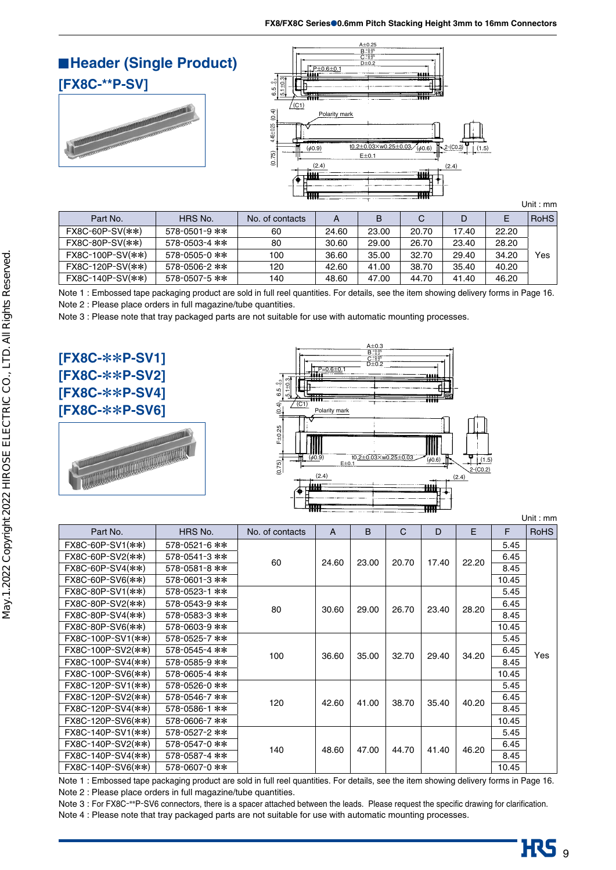**Header (Single Product)**

**[FX8C-\*\*P-SV]**





Unit : mm

| Part No.          | HRS No.             | No. of contacts | A     | B     | C     |       |       | RoHS |
|-------------------|---------------------|-----------------|-------|-------|-------|-------|-------|------|
| $FX8C-60P-SV(**)$ | $578 - 0501 - 9$ ** | 60              | 24.60 | 23.00 | 20.70 | 17.40 | 22.20 |      |
| FX8C-80P-SV(**)   | 578-0503-4 **       | 80              | 30.60 | 29.00 | 26.70 | 23.40 | 28.20 |      |
| FX8C-100P-SV(**)  | 578-0505-0 **       | 100             | 36.60 | 35.00 | 32.70 | 29.40 | 34.20 | Yes  |
| FX8C-120P-SV(**)  | 578-0506-2 **       | 120             | 42.60 | 41.00 | 38.70 | 35.40 | 40.20 |      |
| FX8C-140P-SV(**)  | 578-0507-5 **       | 140             | 48.60 | 47.00 | 44.70 | 41.40 | 46.20 |      |

Note 1 : Embossed tape packaging product are sold in full reel quantities. For details, see the item showing delivery forms in Page 16. Note 2 : Please place orders in full magazine/tube quantities.

Note 3 : Please note that tray packaged parts are not suitable for use with automatic mounting processes.

**[FX8C-**\*\***P-SV1] [FX8C-**\*\***P-SV2] [FX8C-**\*\***P-SV4] [FX8C-**\*\***P-SV6]**





Unit : mm

| Part No.          | HRS No.       | No. of contacts | A     | B     | C     | D     | E     | F     | <b>RoHS</b> |
|-------------------|---------------|-----------------|-------|-------|-------|-------|-------|-------|-------------|
| FX8C-60P-SV1(**)  | 578-0521-6 ** |                 |       |       |       |       |       | 5.45  |             |
| FX8C-60P-SV2(**)  | 578-0541-3 ** | 60              | 24.60 | 23.00 | 20.70 | 17.40 | 22.20 | 6.45  |             |
| FX8C-60P-SV4(**)  | 578-0581-8 ** |                 |       |       |       |       |       | 8.45  |             |
| FX8C-60P-SV6(**)  | 578-0601-3 ** |                 |       |       |       |       |       | 10.45 |             |
| FX8C-80P-SV1(**)  | 578-0523-1 ** |                 |       |       |       |       |       | 5.45  |             |
| FX8C-80P-SV2(**)  | 578-0543-9 ** | 80              | 30.60 | 29.00 | 26.70 | 23.40 | 28.20 | 6.45  |             |
| FX8C-80P-SV4(**)  | 578-0583-3 ** |                 |       |       |       |       |       | 8.45  |             |
| FX8C-80P-SV6(**)  | 578-0603-9 ** |                 |       |       |       |       |       | 10.45 |             |
| FX8C-100P-SV1(**) | 578-0525-7 ** | 100             | 36.60 |       |       | 29.40 | 34.20 | 5.45  | Yes         |
| FX8C-100P-SV2(**) | 578-0545-4 ** |                 |       | 35.00 | 32.70 |       |       | 6.45  |             |
| FX8C-100P-SV4(**) | 578-0585-9 ** |                 |       |       |       |       |       | 8.45  |             |
| FX8C-100P-SV6(**) | 578-0605-4 ** |                 |       |       |       |       |       | 10.45 |             |
| FX8C-120P-SV1(**) | 578-0526-0 ** |                 |       |       |       |       |       | 5.45  |             |
| FX8C-120P-SV2(**) | 578-0546-7 ** | 120             | 42.60 | 41.00 | 38.70 | 35.40 | 40.20 | 6.45  |             |
| FX8C-120P-SV4(**) | 578-0586-1 ** |                 |       |       |       |       |       | 8.45  |             |
| FX8C-120P-SV6(**) | 578-0606-7 ** |                 |       |       |       |       |       | 10.45 |             |
| FX8C-140P-SV1(**) | 578-0527-2 ** |                 |       |       |       |       |       | 5.45  |             |
| FX8C-140P-SV2(**) | 578-0547-0 ** | 140             |       |       |       |       |       | 6.45  |             |
| FX8C-140P-SV4(**) | 578-0587-4 ** |                 | 48.60 | 47.00 | 44.70 | 41.40 | 46.20 | 8.45  |             |
| FX8C-140P-SV6(**) | 578-0607-0 ** |                 |       |       |       |       |       | 10.45 |             |

Note 1 : Embossed tape packaging product are sold in full reel quantities. For details, see the item showing delivery forms in Page 16. Note 2 : Please place orders in full magazine/tube quantities.

Note 3 : For FX8C-\*\*P-SV6 connectors, there is a spacer attached between the leads. Please request the specific drawing for clarification.

Note 4 : Please note that tray packaged parts are not suitable for use with automatic mounting processes.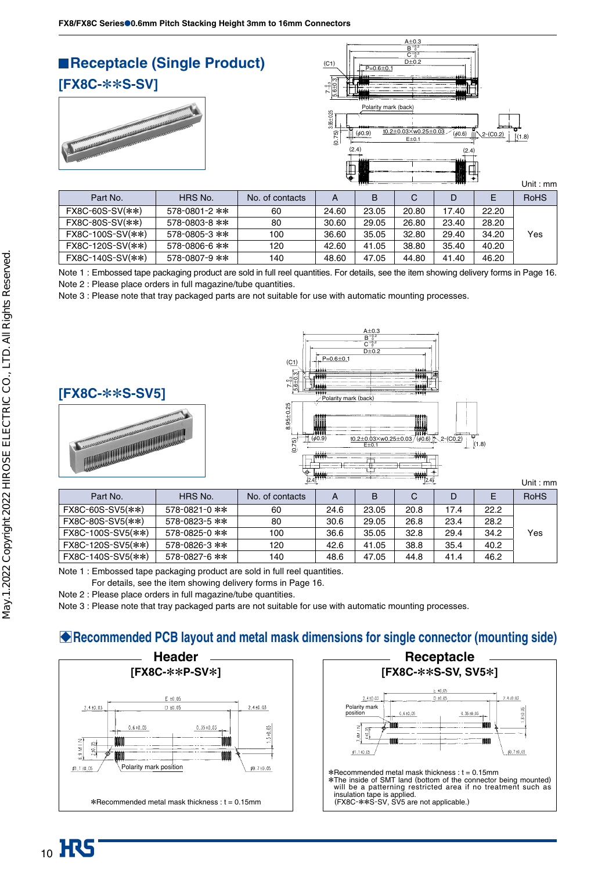

Note 1 : Embossed tape packaging product are sold in full reel quantities. For details, see the item showing delivery forms in Page 16. Note 2 : Please place orders in full magazine/tube quantities.

FX8C-120S-SV(\*\*) 578-0806-6 \*\* 120 42.60 41.05 38.80 35.40 40.20 FX8C-140S-SV(\*\*) 578-0807-9 \*\* 140 48.60 47.05 44.80 41.40 46.20

Note 3 : Please note that tray packaged parts are not suitable for use with automatic mounting processes.





|                   |               | $(2.4)$ <sup>1111</sup> |      | $^{111}$ (2.4) |      |      |      |             |
|-------------------|---------------|-------------------------|------|----------------|------|------|------|-------------|
| Part No.          | HRS No.       | No. of contacts         | A    | в              | C    | D    | E.   | <b>RoHS</b> |
| FX8C-60S-SV5(**)  | 578-0821-0 ** | 60                      | 24.6 | 23.05          | 20.8 | 17.4 | 22.2 |             |
| FX8C-80S-SV5(**)  | 578-0823-5 ** | 80                      | 30.6 | 29.05          | 26.8 | 23.4 | 28.2 |             |
| FX8C-100S-SV5(**) | 578-0825-0 ** | 100                     | 36.6 | 35.05          | 32.8 | 29.4 | 34.2 | Yes         |
| FX8C-120S-SV5(**) | 578-0826-3 ** | 120                     | 42.6 | 41.05          | 38.8 | 35.4 | 40.2 |             |
| FX8C-140S-SV5(**) | 578-0827-6 ** | 140                     | 48.6 | 47.05          | 44.8 | 41.4 | 46.2 |             |

Note 1 : Embossed tape packaging product are sold in full reel quantities.

For details, see the item showing delivery forms in Page 16.

Note 2 : Please place orders in full magazine/tube quantities.

Note 3 : Please note that tray packaged parts are not suitable for use with automatic mounting processes.

## B**Recommended PCB layout and metal mask dimensions for single connector (mounting side)**



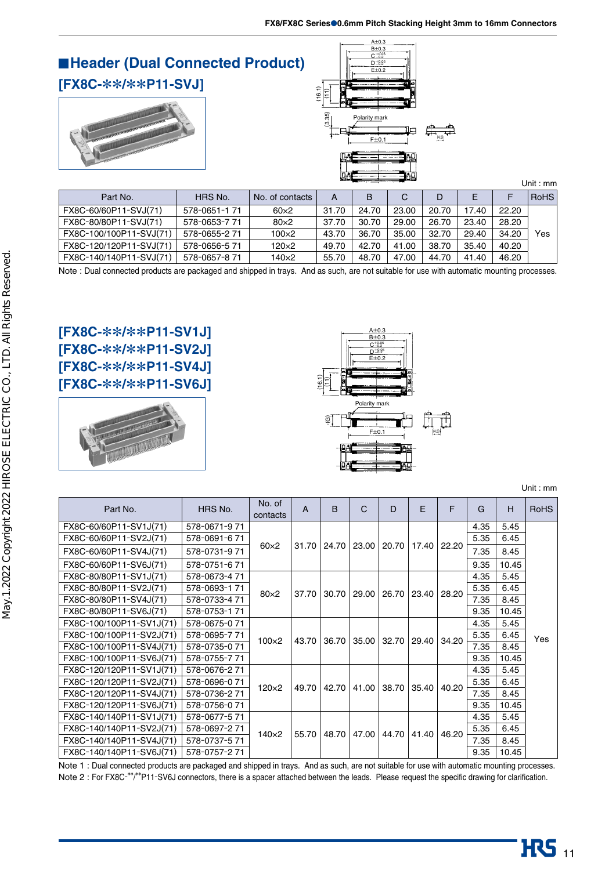#### **Header (Dual Connected Product) [FX8C-**\*\***/**\*\***P11-SVJ]** (16.1) Ē (3.35) (11)  $(3.35)$



 $A\pm0.3$  $rac{B \pm 0.3}{C \pm 0.25}$ 

|                         |               | Unit: $mm$      |       |       |       |       |       |       |             |  |
|-------------------------|---------------|-----------------|-------|-------|-------|-------|-------|-------|-------------|--|
| Part No.                | HRS No.       | No. of contacts | A     | B     | C     | D     | E     | F     | <b>RoHS</b> |  |
| FX8C-60/60P11-SVJ(71)   | 578-0651-1 71 | $60\times2$     | 31.70 | 24.70 | 23.00 | 20.70 | 17.40 | 22.20 |             |  |
| FX8C-80/80P11-SVJ(71)   | 578-0653-771  | $80\times2$     | 37.70 | 30.70 | 29.00 | 26.70 | 23.40 | 28.20 |             |  |
| FX8C-100/100P11-SVJ(71) | 578-0655-271  | $100\times2$    | 43.70 | 36.70 | 35.00 | 32.70 | 29.40 | 34.20 | Yes         |  |
| FX8C-120/120P11-SVJ(71) | 578-0656-571  | $120\times2$    | 49.70 | 42.70 | 41.00 | 38.70 | 35.40 | 40.20 |             |  |
| FX8C-140/140P11-SVJ(71) | 578-0657-871  | 140×2           | 55.70 | 48.70 | 47.00 | 44.70 | 41.40 | 46.20 |             |  |

Note : Dual connected products are packaged and shipped in trays. And as such, are not suitable for use with automatic mounting processes.

## **[FX8C-**\*\***/**\*\***P11-SV1J] [FX8C-**\*\***/**\*\***P11-SV2J] [FX8C-**\*\***/**\*\***P11-SV4J] [FX8C-**\*\***/**\*\***P11-SV6J]**





Unit : mm

| Part No.                 | HRS No.       | No. of<br>contacts | A     | B     | $\mathsf{C}$ | D           | F     | F     | G    | H     | <b>RoHS</b> |
|--------------------------|---------------|--------------------|-------|-------|--------------|-------------|-------|-------|------|-------|-------------|
| FX8C-60/60P11-SV1J(71)   | 578-0671-971  |                    |       |       |              |             |       |       | 4.35 | 5.45  |             |
| FX8C-60/60P11-SV2J(71)   | 578-0691-671  |                    |       |       |              |             |       |       | 5.35 | 6.45  |             |
| FX8C-60/60P11-SV4J(71)   | 578-0731-971  | $60\times2$        | 31.70 | 24.70 | 23.00        | 20.70       | 17.40 | 22.20 | 7.35 | 8.45  |             |
| FX8C-60/60P11-SV6J(71)   | 578-0751-671  |                    |       |       |              |             |       |       | 9.35 | 10.45 |             |
| FX8C-80/80P11-SV1J(71)   | 578-0673-471  |                    |       |       |              |             |       |       | 4.35 | 5.45  |             |
| FX8C-80/80P11-SV2J(71)   | 578-0693-171  | $80\times2$        | 37.70 | 30.70 | 29.00        | 26.70       | 23.40 | 28.20 | 5.35 | 6.45  |             |
| FX8C-80/80P11-SV4J(71)   | 578-0733-4 71 |                    |       |       |              |             |       |       | 7.35 | 8.45  |             |
| FX8C-80/80P11-SV6J(71)   | 578-0753-1 71 |                    |       |       |              |             |       |       | 9.35 | 10.45 |             |
| FX8C-100/100P11-SV1J(71) | 578-0675-071  |                    | 43.70 | 36.70 |              |             |       |       | 4.35 | 5.45  |             |
| FX8C-100/100P11-SV2J(71) | 578-0695-771  | $100\times2$       |       |       |              | 35.00 32.70 | 29.40 | 34.20 | 5.35 | 6.45  | Yes         |
| FX8C-100/100P11-SV4J(71) | 578-0735-0 71 |                    |       |       |              |             |       |       | 7.35 | 8.45  |             |
| FX8C-100/100P11-SV6J(71) | 578-0755-771  |                    |       |       |              |             |       |       | 9.35 | 10.45 |             |
| FX8C-120/120P11-SV1J(71) | 578-0676-271  |                    |       |       |              |             |       |       | 4.35 | 5.45  |             |
| FX8C-120/120P11-SV2J(71) | 578-0696-071  | 120×2              | 49.70 | 42.70 | 41.00        | 38.70       | 35.40 | 40.20 | 5.35 | 6.45  |             |
| FX8C-120/120P11-SV4J(71) | 578-0736-271  |                    |       |       |              |             |       |       | 7.35 | 8.45  |             |
| FX8C-120/120P11-SV6J(71) | 578-0756-071  |                    |       |       |              |             |       |       | 9.35 | 10.45 |             |
| FX8C-140/140P11-SV1J(71) | 578-0677-571  |                    |       |       |              |             |       |       | 4.35 | 5.45  |             |
| FX8C-140/140P11-SV2J(71) | 578-0697-271  | 140×2              |       | 48.70 | 47.00        | 44.70       |       | 46.20 | 5.35 | 6.45  |             |
| FX8C-140/140P11-SV4J(71) | 578-0737-571  |                    | 55.70 |       |              |             | 41.40 |       | 7.35 | 8.45  |             |
| FX8C-140/140P11-SV6J(71) | 578-0757-271  |                    |       |       |              |             |       |       | 9.35 | 10.45 |             |

Note 1 : Dual connected products are packaged and shipped in trays. And as such, are not suitable for use with automatic mounting processes. Note 2: For FX8C-<sup>\*\*</sup>/<sup>\*\*</sup>P11-SV6J connectors, there is a spacer attached between the leads. Please request the specific drawing for clarification.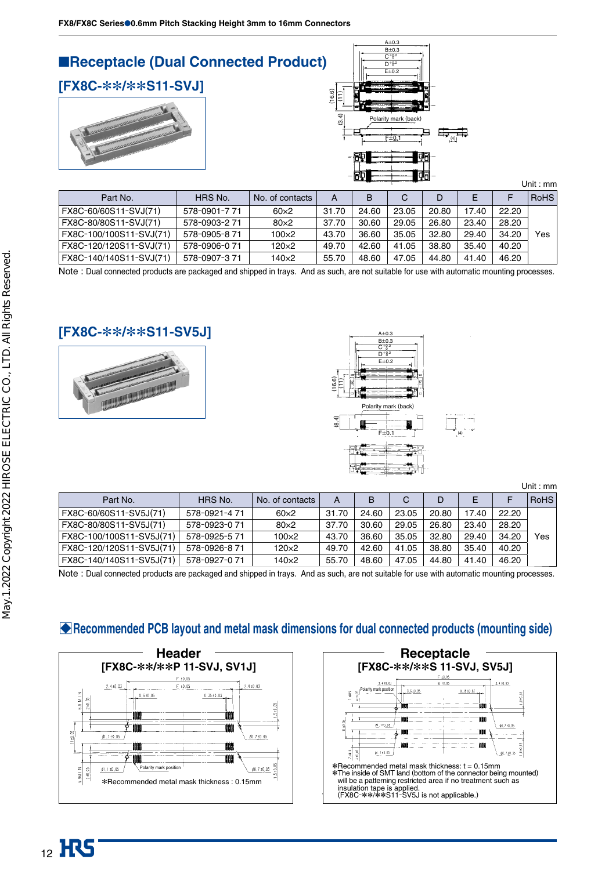

| Part No.                | HRS No.       | No. of contacts |       | B     |       |       |       |       | RoHS |
|-------------------------|---------------|-----------------|-------|-------|-------|-------|-------|-------|------|
| FX8C-60/60S11-SVJ(71)   | 578-0901-7 71 | $60\times2$     | 31.70 | 24.60 | 23.05 | 20.80 | 17.40 | 22.20 |      |
| FX8C-80/80S11-SVJ(71)   | 578-0903-2 71 | $80\times2$     | 37.70 | 30.60 | 29.05 | 26.80 | 23.40 | 28.20 |      |
| FX8C-100/100S11-SVJ(71) | 578-0905-871  | 100×2           | 43.70 | 36.60 | 35.05 | 32.80 | 29.40 | 34.20 | Yes  |
| FX8C-120/120S11-SVJ(71) | 578-0906-0 71 | 120×2           | 49.70 | 42.60 | 41.05 | 38.80 | 35.40 | 40.20 |      |
| FX8C-140/140S11-SVJ(71) | 578-0907-371  | 140×2           | 55.70 | 48.60 | 47.05 | 44.80 | 41.40 | 46.20 |      |

Note : Dual connected products are packaged and shipped in trays. And as such, are not suitable for use with automatic mounting processes.

#### **[FX8C-**\*\***/**\*\***S11-SV5J]**





Unit : mm

| Part No.                 | HRS No.       | No. of contacts | А     |       | С     |       |       |       | <b>RoHS</b> |
|--------------------------|---------------|-----------------|-------|-------|-------|-------|-------|-------|-------------|
| FX8C-60/60S11-SV5J(71)   | 578-0921-471  | $60\times2$     | 31.70 | 24.60 | 23.05 | 20.80 | 17.40 | 22.20 |             |
| FX8C-80/80S11-SV5J(71)   | 578-0923-0 71 | $80\times2$     | 37.70 | 30.60 | 29.05 | 26.80 | 23.40 | 28.20 |             |
| FX8C-100/100S11-SV5J(71) | 578-0925-571  | $100\times2$    | 43.70 | 36.60 | 35.05 | 32.80 | 29.40 | 34.20 | Yes         |
| FX8C-120/120S11-SV5J(71) | 578-0926-871  | $120\times2$    | 49.70 | 42.60 | 41.05 | 38.80 | 35.40 | 40.20 |             |
| FX8C-140/140S11-SV5J(71) | 578-0927-0 71 | 140×2           | 55.70 | 48.60 | 47.05 | 44.80 | 41.40 | 46.20 |             |

Note : Dual connected products are packaged and shipped in trays. And as such, are not suitable for use with automatic mounting processes.

## B**Recommended PCB layout and metal mask dimensions for dual connected products (mounting side)**



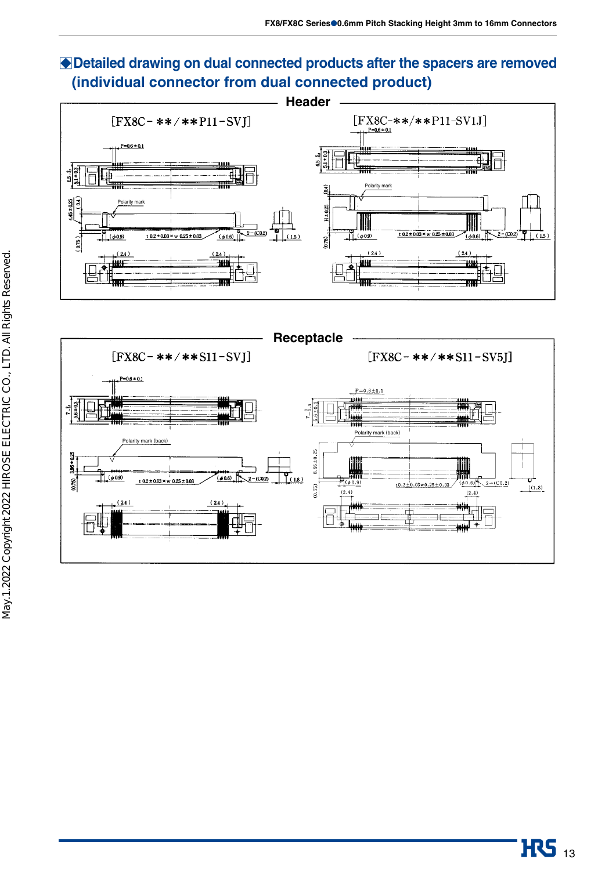# B**Detailed drawing on dual connected products after the spacers are removed (individual connector from dual connected product)**



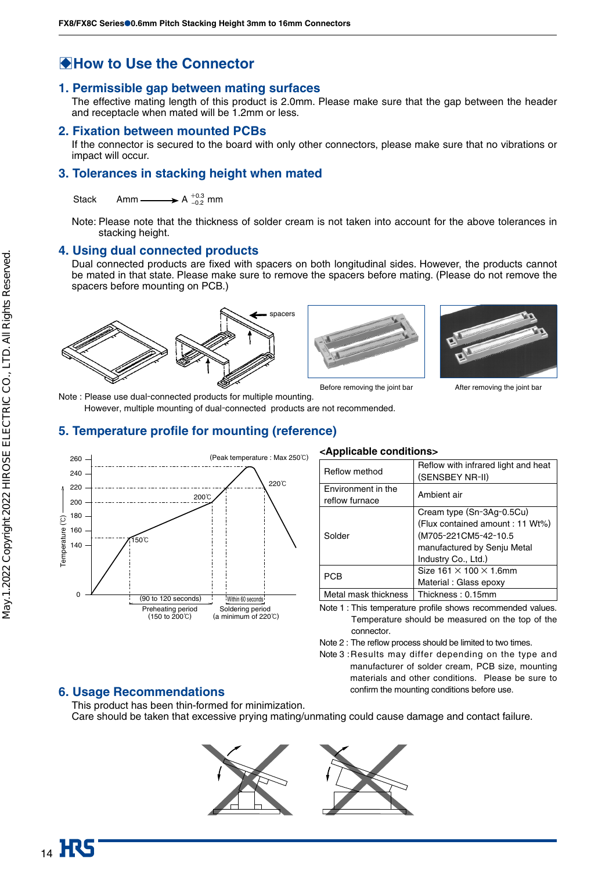## $\bigcirc$  **How to Use the Connector**

#### **1. Permissible gap between mating surfaces**

The effective mating length of this product is 2.0mm. Please make sure that the gap between the header and receptacle when mated will be 1.2mm or less.

#### **2. Fixation between mounted PCBs**

If the connector is secured to the board with only other connectors, please make sure that no vibrations or impact will occur.

#### **3. Tolerances in stacking height when mated**

Stack Amm  $\longrightarrow A_{-0.2}^{+0.3}$  mm

Note: Please note that the thickness of solder cream is not taken into account for the above tolerances in stacking height.

#### **4. Using dual connected products**

Dual connected products are fixed with spacers on both longitudinal sides. However, the products cannot be mated in that state. Please make sure to remove the spacers before mating. (Please do not remove the spacers before mounting on PCB.)







Before removing the joint bar **After removing the joint bar** After removing the joint bar

Note : Please use dual-connected products for multiple mounting.

However, multiple mounting of dual-connected products are not recommended.

#### **5. Temperature profile for mounting (reference)**



#### **<Applicable conditions>**

| Reflow method                        | Reflow with infrared light and heat<br>(SENSBEY NR-II)                                |
|--------------------------------------|---------------------------------------------------------------------------------------|
| Environment in the<br>reflow furnace | Ambient air                                                                           |
| Solder                               | Cream type (Sn-3Ag-0.5Cu)<br>(Flux contained amount: 11 Wt%)<br>(M705-221CM5-42-10.5) |
|                                      | manufactured by Senju Metal<br>Industry Co., Ltd.)                                    |
| PCB                                  | Size $161 \times 100 \times 1.6$ mm                                                   |
|                                      | Material: Glass epoxy                                                                 |
| Metal mask thickness                 | Thickness: 0.15mm                                                                     |

Note 1 : This temperature profile shows recommended values. Temperature should be measured on the top of the connector.

Note 2 : The reflow process should be limited to two times.

Note 3 : Results may differ depending on the type and manufacturer of solder cream, PCB size, mounting materials and other conditions. Please be sure to confirm the mounting conditions before use.

#### **6. Usage Recommendations**

This product has been thin-formed for minimization. Care should be taken that excessive prying mating/unmating could cause damage and contact failure.

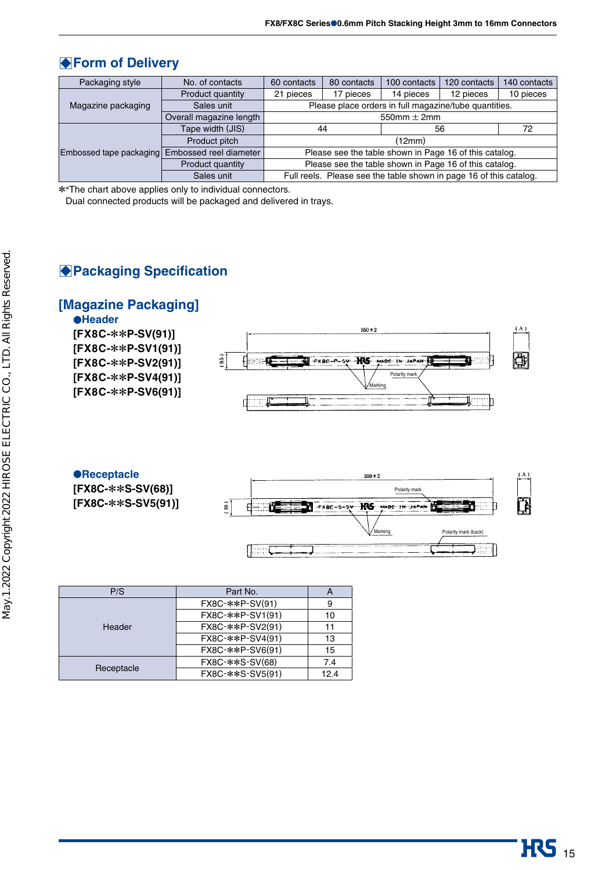## $\bigtriangledown$ **Form of Delivery**

| Packaging style         | No. of contacts         | 60 contacts                                            | 80 contacts | 100 contacts                                                       | 120 contacts | 140 contacts |  |  |  |  |
|-------------------------|-------------------------|--------------------------------------------------------|-------------|--------------------------------------------------------------------|--------------|--------------|--|--|--|--|
|                         | Product quantity        | 21 pieces                                              | 17 pieces   | 14 pieces                                                          | 12 pieces    | 10 pieces    |  |  |  |  |
| Magazine packaging      | Sales unit              | Please place orders in full magazine/tube quantities.  |             |                                                                    |              |              |  |  |  |  |
|                         | Overall magazine length | 550mm $\pm$ 2mm                                        |             |                                                                    |              |              |  |  |  |  |
|                         | Tape width (JIS)        |                                                        | 44          | 56                                                                 | 72           |              |  |  |  |  |
|                         | Product pitch           | (12mm)                                                 |             |                                                                    |              |              |  |  |  |  |
| Embossed tape packaging | Embossed reel diameter  | Please see the table shown in Page 16 of this catalog. |             |                                                                    |              |              |  |  |  |  |
|                         | Product quantity        |                                                        |             | Please see the table shown in Page 16 of this catalog.             |              |              |  |  |  |  |
|                         | Sales unit              |                                                        |             | Full reels. Please see the table shown in page 16 of this catalog. |              |              |  |  |  |  |

\* \*The chart above applies only to individual connectors.

Dual connected products will be packaged and delivered in trays.

## **Packaging Specification**

## **[Magazine Packaging]**





| P/S        | Part No.         |      |
|------------|------------------|------|
| Header     | FX8C-**P-SV(91)  | 9    |
|            | FX8C-**P-SV1(91) | 10   |
|            | FX8C-**P-SV2(91) | 11   |
|            | FX8C-**P-SV4(91) | 13   |
|            | FX8C-**P-SV6(91) | 15   |
| Receptacle | FX8C-**S-SV(68)  | 7.4  |
|            | FX8C-**S-SV5(91) | 12.4 |